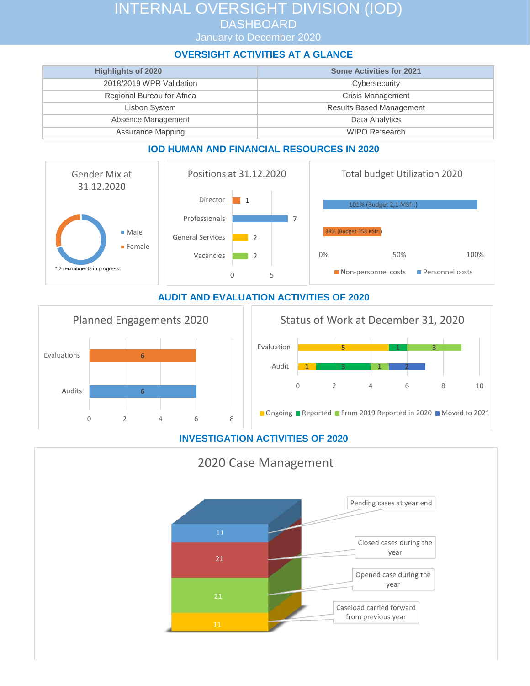# INTERNAL OVERSIGHT DIVISION (IOD) **DASHBOARD**

January to December 2020

### **OVERSIGHT ACTIVITIES AT A GLANCE**

| <b>Highlights of 2020</b>  | <b>Some Activities for 2021</b> |
|----------------------------|---------------------------------|
| 2018/2019 WPR Validation   | Cybersecurity                   |
| Regional Bureau for Africa | Crisis Management               |
| Lisbon System              | <b>Results Based Management</b> |
| Absence Management         | Data Analytics                  |
| <b>Assurance Mapping</b>   | WIPO Re:search                  |

#### **IOD HUMAN AND FINANCIAL RESOURCES IN 2020**



#### **AUDIT AND EVALUATION ACTIVITIES OF 2020**





## **INVESTIGATION ACTIVITIES OF 2020**